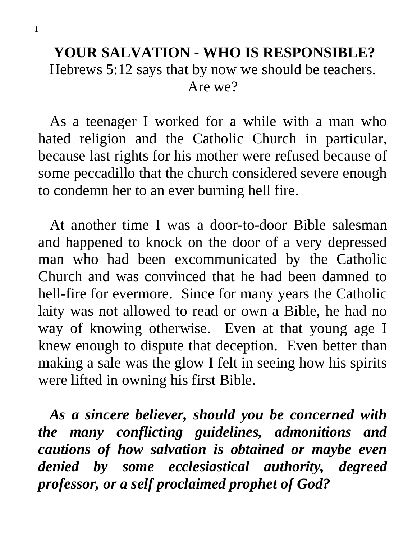### **YOUR SALVATION - WHO IS RESPONSIBLE?** Hebrews 5:12 says that by now we should be teachers. Are we?

 As a teenager I worked for a while with a man who hated religion and the Catholic Church in particular, because last rights for his mother were refused because of some peccadillo that the church considered severe enough to condemn her to an ever burning hell fire.

 At another time I was a door-to-door Bible salesman and happened to knock on the door of a very depressed man who had been excommunicated by the Catholic Church and was convinced that he had been damned to hell-fire for evermore. Since for many years the Catholic laity was not allowed to read or own a Bible, he had no way of knowing otherwise. Even at that young age I knew enough to dispute that deception. Even better than making a sale was the glow I felt in seeing how his spirits were lifted in owning his first Bible.

 *As a sincere believer, should you be concerned with the many conflicting guidelines, admonitions and cautions of how salvation is obtained or maybe even denied by some ecclesiastical authority, degreed professor, or a self proclaimed prophet of God?*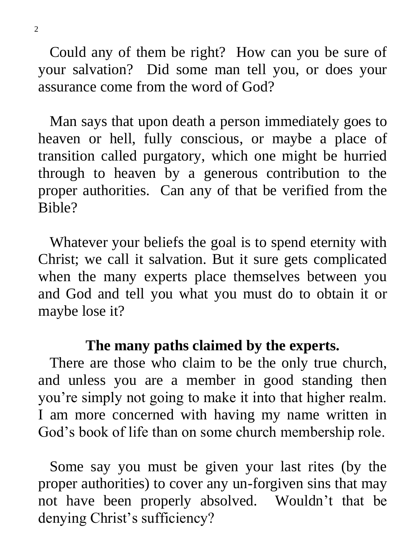Could any of them be right? How can you be sure of your salvation? Did some man tell you, or does your assurance come from the word of God?

 Man says that upon death a person immediately goes to heaven or hell, fully conscious, or maybe a place of transition called purgatory, which one might be hurried through to heaven by a generous contribution to the proper authorities. Can any of that be verified from the Bible?

Whatever your beliefs the goal is to spend eternity with Christ; we call it salvation. But it sure gets complicated when the many experts place themselves between you and God and tell you what you must do to obtain it or maybe lose it?

#### **The many paths claimed by the experts.**

 There are those who claim to be the only true church, and unless you are a member in good standing then you're simply not going to make it into that higher realm. I am more concerned with having my name written in God's book of life than on some church membership role.

 Some say you must be given your last rites (by the proper authorities) to cover any un-forgiven sins that may not have been properly absolved. Wouldn't that be denying Christ's sufficiency?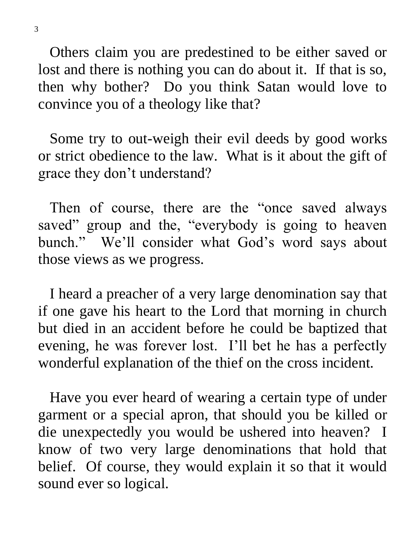Others claim you are predestined to be either saved or lost and there is nothing you can do about it. If that is so, then why bother? Do you think Satan would love to convince you of a theology like that?

 Some try to out-weigh their evil deeds by good works or strict obedience to the law. What is it about the gift of grace they don't understand?

 Then of course, there are the "once saved always saved" group and the, "everybody is going to heaven bunch." We'll consider what God's word says about those views as we progress.

 I heard a preacher of a very large denomination say that if one gave his heart to the Lord that morning in church but died in an accident before he could be baptized that evening, he was forever lost. I'll bet he has a perfectly wonderful explanation of the thief on the cross incident.

 Have you ever heard of wearing a certain type of under garment or a special apron, that should you be killed or die unexpectedly you would be ushered into heaven? I know of two very large denominations that hold that belief. Of course, they would explain it so that it would sound ever so logical.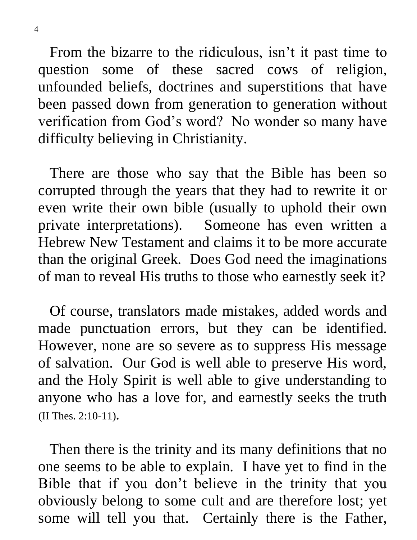From the bizarre to the ridiculous, isn't it past time to question some of these sacred cows of religion, unfounded beliefs, doctrines and superstitions that have been passed down from generation to generation without verification from God's word? No wonder so many have difficulty believing in Christianity.

 There are those who say that the Bible has been so corrupted through the years that they had to rewrite it or even write their own bible (usually to uphold their own private interpretations). Someone has even written a Hebrew New Testament and claims it to be more accurate than the original Greek. Does God need the imaginations of man to reveal His truths to those who earnestly seek it?

 Of course, translators made mistakes, added words and made punctuation errors, but they can be identified. However, none are so severe as to suppress His message of salvation. Our God is well able to preserve His word, and the Holy Spirit is well able to give understanding to anyone who has a love for, and earnestly seeks the truth (II Thes. 2:10-11).

 Then there is the trinity and its many definitions that no one seems to be able to explain. I have yet to find in the Bible that if you don't believe in the trinity that you obviously belong to some cult and are therefore lost; yet some will tell you that. Certainly there is the Father,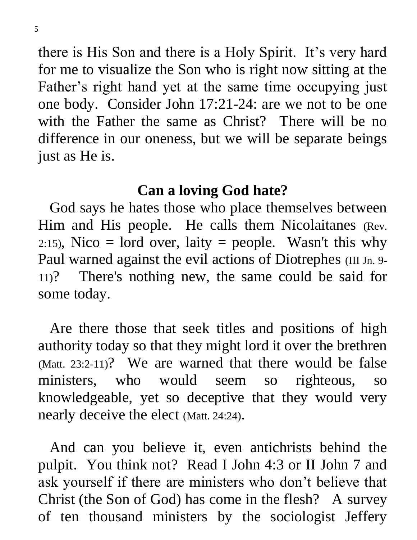there is His Son and there is a Holy Spirit. It's very hard for me to visualize the Son who is right now sitting at the Father's right hand yet at the same time occupying just one body. Consider John 17:21-24: are we not to be one with the Father the same as Christ? There will be no difference in our oneness, but we will be separate beings just as He is.

### **Can a loving God hate?**

 God says he hates those who place themselves between Him and His people. He calls them Nicolaitanes (Rev. 2:15), Nico = lord over, laity = people. Wasn't this why Paul warned against the evil actions of Diotrephes (III Jn. 9-11)? There's nothing new, the same could be said for some today.

 Are there those that seek titles and positions of high authority today so that they might lord it over the brethren (Matt. 23:2-11)? We are warned that there would be false ministers, who would seem so righteous, so knowledgeable, yet so deceptive that they would very nearly deceive the elect (Matt. 24:24).

 And can you believe it, even antichrists behind the pulpit. You think not? Read I John 4:3 or II John 7 and ask yourself if there are ministers who don't believe that Christ (the Son of God) has come in the flesh? A survey of ten thousand ministers by the sociologist Jeffery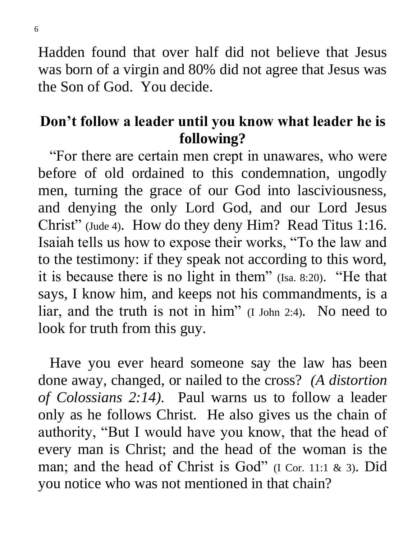Hadden found that over half did not believe that Jesus was born of a virgin and 80% did not agree that Jesus was the Son of God. You decide.

# **Don't follow a leader until you know what leader he is following?**

 "For there are certain men crept in unawares, who were before of old ordained to this condemnation, ungodly men, turning the grace of our God into lasciviousness, and denying the only Lord God, and our Lord Jesus Christ" (Jude 4). How do they deny Him? Read Titus 1:16. Isaiah tells us how to expose their works, "To the law and to the testimony: if they speak not according to this word, it is because there is no light in them" (Isa. 8:20). "He that says, I know him, and keeps not his commandments, is a liar, and the truth is not in him" (I John 2:4). No need to look for truth from this guy.

 Have you ever heard someone say the law has been done away, changed, or nailed to the cross? *(A distortion of Colossians 2:14).* Paul warns us to follow a leader only as he follows Christ. He also gives us the chain of authority, "But I would have you know, that the head of every man is Christ; and the head of the woman is the man; and the head of Christ is God" (I Cor. 11:1 & 3). Did you notice who was not mentioned in that chain?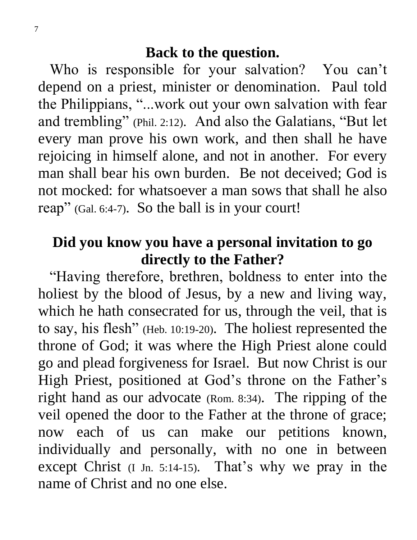Who is responsible for your salvation? You can't depend on a priest, minister or denomination. Paul told the Philippians, "...work out your own salvation with fear and trembling" (Phil. 2:12). And also the Galatians, "But let every man prove his own work, and then shall he have rejoicing in himself alone, and not in another. For every man shall bear his own burden. Be not deceived; God is not mocked: for whatsoever a man sows that shall he also reap" (Gal. 6:4-7). So the ball is in your court!

## **Did you know you have a personal invitation to go directly to the Father?**

 "Having therefore, brethren, boldness to enter into the holiest by the blood of Jesus, by a new and living way, which he hath consecrated for us, through the veil, that is to say, his flesh" (Heb. 10:19-20). The holiest represented the throne of God; it was where the High Priest alone could go and plead forgiveness for Israel. But now Christ is our High Priest, positioned at God's throne on the Father's right hand as our advocate (Rom. 8:34). The ripping of the veil opened the door to the Father at the throne of grace; now each of us can make our petitions known, individually and personally, with no one in between except Christ (I Jn. 5:14-15). That's why we pray in the name of Christ and no one else.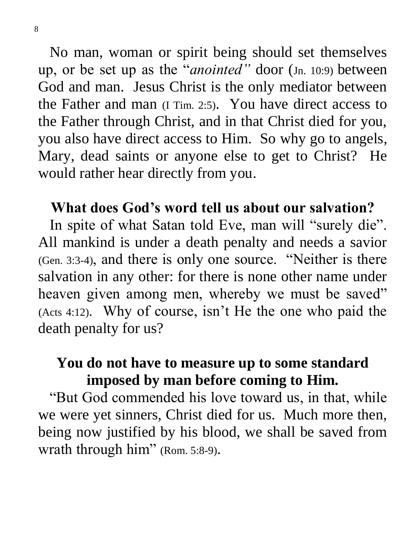No man, woman or spirit being should set themselves up, or be set up as the "*anointed"* door (Jn. 10:9) between God and man. Jesus Christ is the only mediator between the Father and man (I Tim. 2:5). You have direct access to the Father through Christ, and in that Christ died for you, you also have direct access to Him. So why go to angels, Mary, dead saints or anyone else to get to Christ? He would rather hear directly from you.

### **What does God's word tell us about our salvation?**

In spite of what Satan told Eve, man will "surely die". All mankind is under a death penalty and needs a savior (Gen. 3:3-4), and there is only one source. "Neither is there salvation in any other: for there is none other name under heaven given among men, whereby we must be saved" (Acts 4:12). Why of course, isn't He the one who paid the death penalty for us?

# **You do not have to measure up to some standard imposed by man before coming to Him.**

 "But God commended his love toward us, in that, while we were yet sinners, Christ died for us. Much more then, being now justified by his blood, we shall be saved from wrath through him" (Rom. 5:8-9).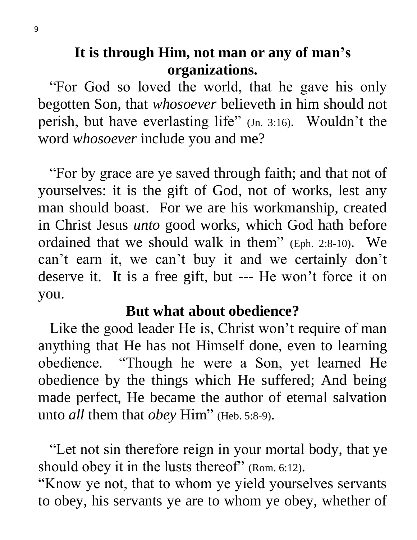**It is through Him, not man or any of man's organizations.**

 "For God so loved the world, that he gave his only begotten Son, that *whosoever* believeth in him should not perish, but have everlasting life" (Jn. 3:16). Wouldn't the word *whosoever* include you and me?

 "For by grace are ye saved through faith; and that not of yourselves: it is the gift of God, not of works, lest any man should boast. For we are his workmanship, created in Christ Jesus *unto* good works, which God hath before ordained that we should walk in them" (Eph. 2:8-10). We can't earn it, we can't buy it and we certainly don't deserve it. It is a free gift, but --- He won't force it on you.

### **But what about obedience?**

 Like the good leader He is, Christ won't require of man anything that He has not Himself done, even to learning obedience. "Though he were a Son, yet learned He obedience by the things which He suffered; And being made perfect, He became the author of eternal salvation unto *all* them that *obey* Him" (Heb. 5:8-9).

 "Let not sin therefore reign in your mortal body, that ye should obey it in the lusts thereof" (Rom. 6:12).

"Know ye not, that to whom ye yield yourselves servants to obey, his servants ye are to whom ye obey, whether of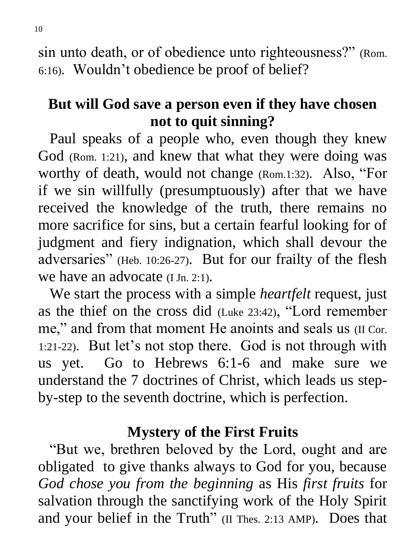sin unto death, or of obedience unto righteousness?" (Rom. 6:16). Wouldn't obedience be proof of belief?

# **But will God save a person even if they have chosen not to quit sinning?**

 Paul speaks of a people who, even though they knew God (Rom. 1:21), and knew that what they were doing was worthy of death, would not change (Rom.1:32). Also, "For if we sin willfully (presumptuously) after that we have received the knowledge of the truth, there remains no more sacrifice for sins, but a certain fearful looking for of judgment and fiery indignation, which shall devour the adversaries" (Heb. 10:26-27). But for our frailty of the flesh we have an advocate (I Jn. 2:1).

 We start the process with a simple *heartfelt* request, just as the thief on the cross did (Luke 23:42), "Lord remember me," and from that moment He anoints and seals us (II Cor. 1:21-22). But let's not stop there. God is not through with us yet. Go to Hebrews 6:1-6 and make sure we understand the 7 doctrines of Christ, which leads us stepby-step to the seventh doctrine, which is perfection.

### **Mystery of the First Fruits**

 "But we, brethren beloved by the Lord, ought and are obligated to give thanks always to God for you, because *God chose you from the beginning* as His *first fruits* for salvation through the sanctifying work of the Holy Spirit and your belief in the Truth" (II Thes. 2:13 AMP). Does that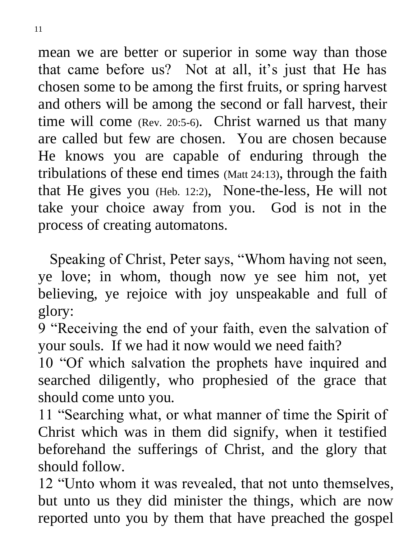mean we are better or superior in some way than those that came before us? Not at all, it's just that He has chosen some to be among the first fruits, or spring harvest and others will be among the second or fall harvest, their time will come (Rev. 20:5-6). Christ warned us that many are called but few are chosen. You are chosen because He knows you are capable of enduring through the tribulations of these end times (Matt 24:13), through the faith that He gives you (Heb. 12:2), None-the-less, He will not take your choice away from you. God is not in the process of creating automatons.

 Speaking of Christ, Peter says, "Whom having not seen, ye love; in whom, though now ye see him not, yet believing, ye rejoice with joy unspeakable and full of glory:

9 "Receiving the end of your faith, even the salvation of your souls. If we had it now would we need faith?

10 "Of which salvation the prophets have inquired and searched diligently, who prophesied of the grace that should come unto you.

11 "Searching what, or what manner of time the Spirit of Christ which was in them did signify, when it testified beforehand the sufferings of Christ, and the glory that should follow.

12 "Unto whom it was revealed, that not unto themselves, but unto us they did minister the things, which are now reported unto you by them that have preached the gospel